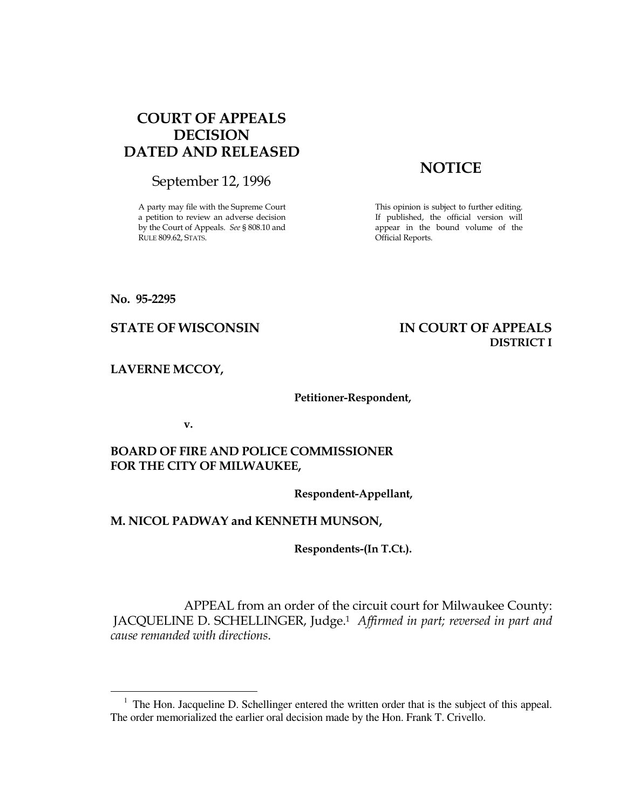# COURT OF APPEALS DECISION DATED AND RELEASED

September 12, 1996

A party may file with the Supreme Court a petition to review an adverse decision by the Court of Appeals. See § 808.10 and RULE 809.62, STATS.

# **NOTICE**

This opinion is subject to further editing. If published, the official version will appear in the bound volume of the Official Reports.

#### No. 95-2295

 $\overline{a}$ 

# STATE OF WISCONSIN IN COURT OF APPEALS DISTRICT I

LAVERNE MCCOY,

#### Petitioner-Respondent,

v.

# BOARD OF FIRE AND POLICE COMMISSIONER FOR THE CITY OF MILWAUKEE,

Respondent-Appellant,

# M. NICOL PADWAY and KENNETH MUNSON,

Respondents-(In T.Ct.).

 APPEAL from an order of the circuit court for Milwaukee County: JACQUELINE D. SCHELLINGER, Judge.<sup>1</sup> Affirmed in part; reversed in part and cause remanded with directions.

<sup>&</sup>lt;sup>1</sup> The Hon. Jacqueline D. Schellinger entered the written order that is the subject of this appeal. The order memorialized the earlier oral decision made by the Hon. Frank T. Crivello.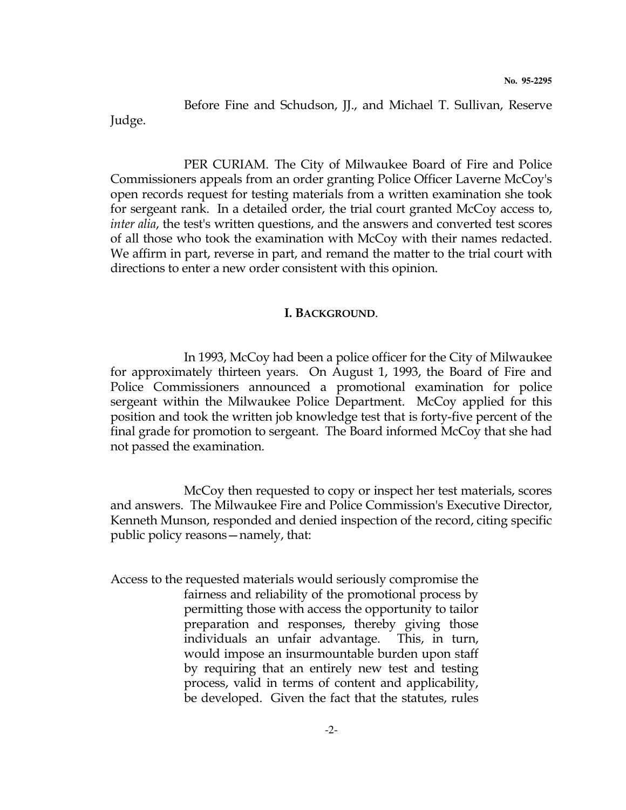Before Fine and Schudson, JJ., and Michael T. Sullivan, Reserve Judge.

 PER CURIAM. The City of Milwaukee Board of Fire and Police Commissioners appeals from an order granting Police Officer Laverne McCoy's open records request for testing materials from a written examination she took for sergeant rank. In a detailed order, the trial court granted McCoy access to, inter alia, the test's written questions, and the answers and converted test scores of all those who took the examination with McCoy with their names redacted. We affirm in part, reverse in part, and remand the matter to the trial court with directions to enter a new order consistent with this opinion.

#### I. BACKGROUND.

 In 1993, McCoy had been a police officer for the City of Milwaukee for approximately thirteen years. On August 1, 1993, the Board of Fire and Police Commissioners announced a promotional examination for police sergeant within the Milwaukee Police Department. McCoy applied for this position and took the written job knowledge test that is forty-five percent of the final grade for promotion to sergeant. The Board informed McCoy that she had not passed the examination.

 McCoy then requested to copy or inspect her test materials, scores and answers. The Milwaukee Fire and Police Commission's Executive Director, Kenneth Munson, responded and denied inspection of the record, citing specific public policy reasons—namely, that:

Access to the requested materials would seriously compromise the fairness and reliability of the promotional process by permitting those with access the opportunity to tailor preparation and responses, thereby giving those individuals an unfair advantage. This, in turn, would impose an insurmountable burden upon staff by requiring that an entirely new test and testing process, valid in terms of content and applicability, be developed. Given the fact that the statutes, rules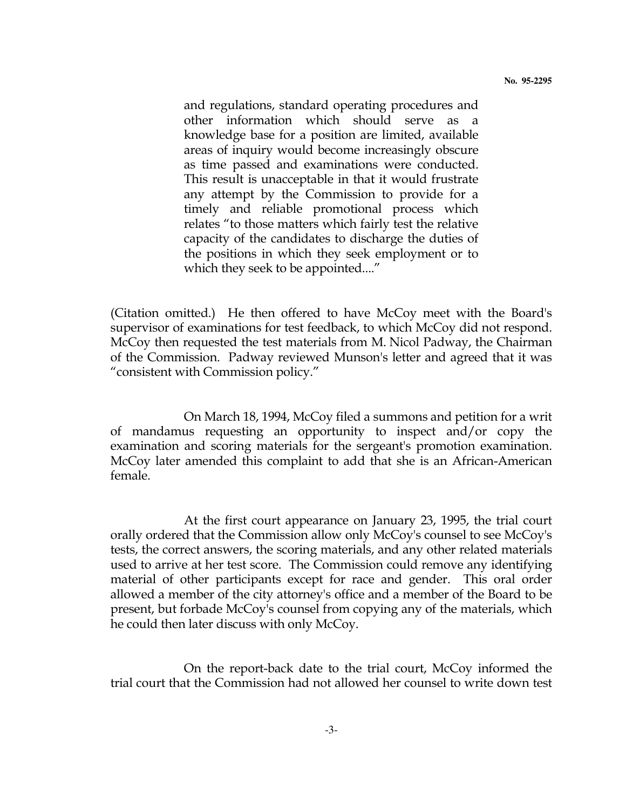**No. 95-2295**

and regulations, standard operating procedures and other information which should serve as a knowledge base for a position are limited, available areas of inquiry would become increasingly obscure as time passed and examinations were conducted. This result is unacceptable in that it would frustrate any attempt by the Commission to provide for a timely and reliable promotional process which relates "to those matters which fairly test the relative capacity of the candidates to discharge the duties of the positions in which they seek employment or to which they seek to be appointed...."

(Citation omitted.) He then offered to have McCoy meet with the Board's supervisor of examinations for test feedback, to which McCoy did not respond. McCoy then requested the test materials from M. Nicol Padway, the Chairman of the Commission. Padway reviewed Munson's letter and agreed that it was "consistent with Commission policy."

 On March 18, 1994, McCoy filed a summons and petition for a writ of mandamus requesting an opportunity to inspect and/or copy the examination and scoring materials for the sergeant's promotion examination. McCoy later amended this complaint to add that she is an African-American female.

 At the first court appearance on January 23, 1995, the trial court orally ordered that the Commission allow only McCoy's counsel to see McCoy's tests, the correct answers, the scoring materials, and any other related materials used to arrive at her test score. The Commission could remove any identifying material of other participants except for race and gender. This oral order allowed a member of the city attorney's office and a member of the Board to be present, but forbade McCoy's counsel from copying any of the materials, which he could then later discuss with only McCoy.

 On the report-back date to the trial court, McCoy informed the trial court that the Commission had not allowed her counsel to write down test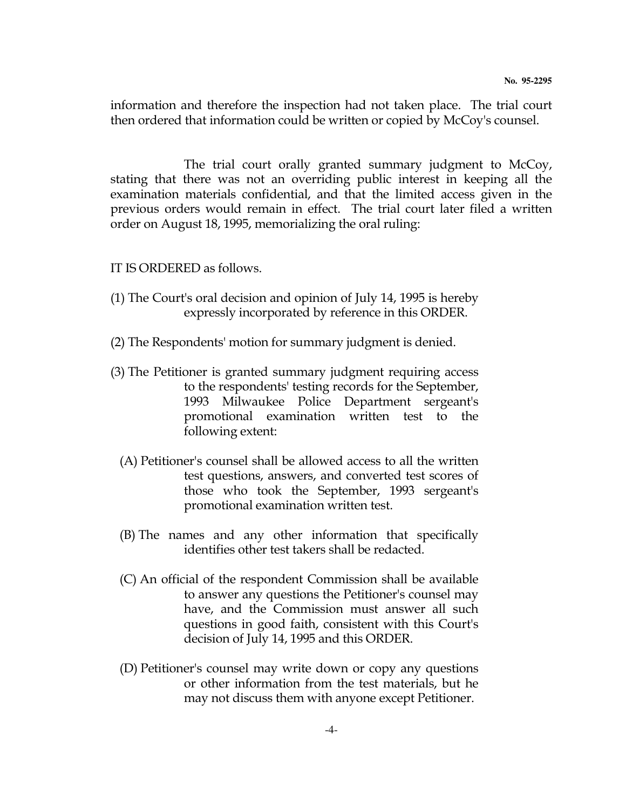information and therefore the inspection had not taken place. The trial court then ordered that information could be written or copied by McCoy's counsel.

 The trial court orally granted summary judgment to McCoy, stating that there was not an overriding public interest in keeping all the examination materials confidential, and that the limited access given in the previous orders would remain in effect. The trial court later filed a written order on August 18, 1995, memorializing the oral ruling:

## IT IS ORDERED as follows.

- (1) The Court's oral decision and opinion of July 14, 1995 is hereby expressly incorporated by reference in this ORDER.
- (2) The Respondents' motion for summary judgment is denied.
- (3) The Petitioner is granted summary judgment requiring access to the respondents' testing records for the September, 1993 Milwaukee Police Department sergeant's promotional examination written test to the following extent:
	- (A) Petitioner's counsel shall be allowed access to all the written test questions, answers, and converted test scores of those who took the September, 1993 sergeant's promotional examination written test.
	- (B) The names and any other information that specifically identifies other test takers shall be redacted.
	- (C) An official of the respondent Commission shall be available to answer any questions the Petitioner's counsel may have, and the Commission must answer all such questions in good faith, consistent with this Court's decision of July 14, 1995 and this ORDER.
	- (D) Petitioner's counsel may write down or copy any questions or other information from the test materials, but he may not discuss them with anyone except Petitioner.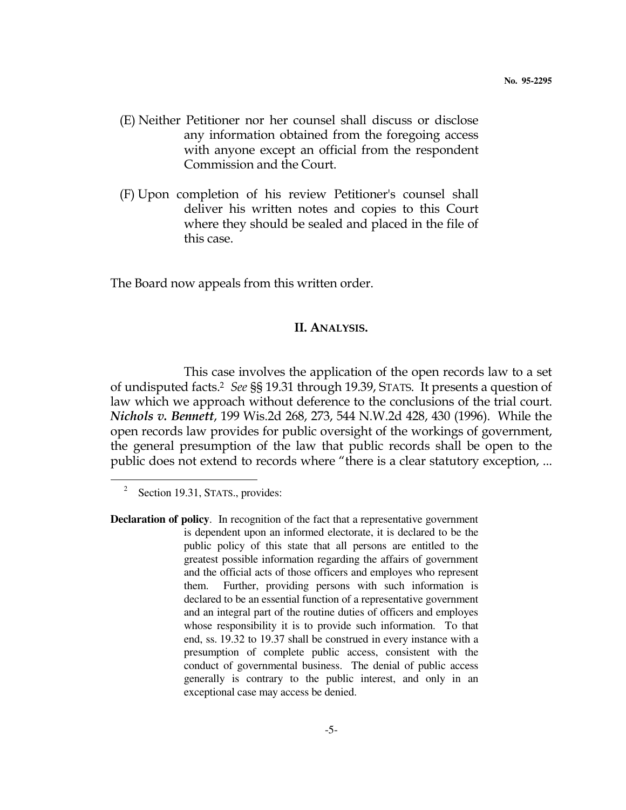- (E) Neither Petitioner nor her counsel shall discuss or disclose any information obtained from the foregoing access with anyone except an official from the respondent Commission and the Court.
- (F) Upon completion of his review Petitioner's counsel shall deliver his written notes and copies to this Court where they should be sealed and placed in the file of this case.

The Board now appeals from this written order.

### II. ANALYSIS.

 This case involves the application of the open records law to a set of undisputed facts.<sup>2</sup> See §§ 19.31 through 19.39, STATS. It presents a question of law which we approach without deference to the conclusions of the trial court. Nichols v. Bennett, 199 Wis.2d 268, 273, 544 N.W.2d 428, 430 (1996). While the open records law provides for public oversight of the workings of government, the general presumption of the law that public records shall be open to the public does not extend to records where "there is a clear statutory exception, ...

 $\overline{a}$ 

<sup>2</sup> Section 19.31, STATS., provides:

**Declaration of policy**. In recognition of the fact that a representative government is dependent upon an informed electorate, it is declared to be the public policy of this state that all persons are entitled to the greatest possible information regarding the affairs of government and the official acts of those officers and employes who represent them. Further, providing persons with such information is declared to be an essential function of a representative government and an integral part of the routine duties of officers and employes whose responsibility it is to provide such information. To that end, ss. 19.32 to 19.37 shall be construed in every instance with a presumption of complete public access, consistent with the conduct of governmental business. The denial of public access generally is contrary to the public interest, and only in an exceptional case may access be denied.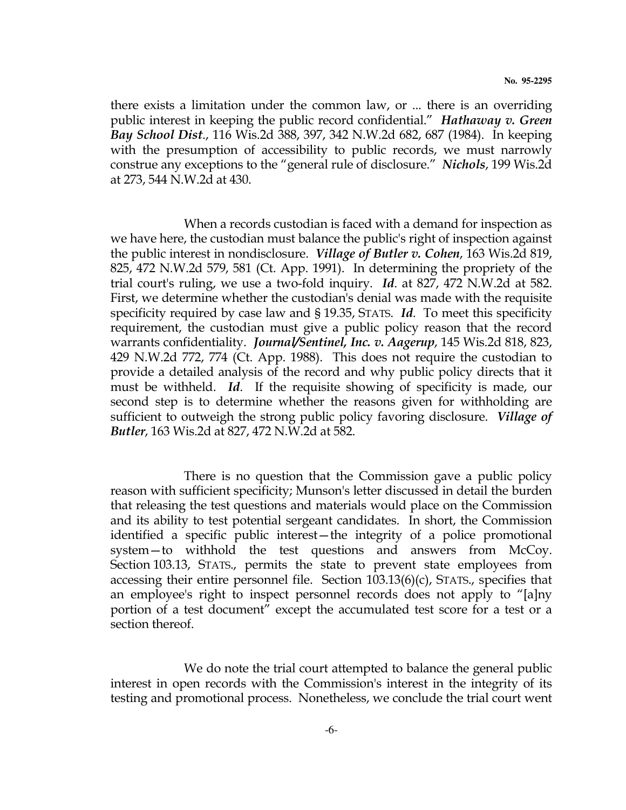there exists a limitation under the common law, or ... there is an overriding public interest in keeping the public record confidential." *Hathaway v. Green* Bay School Dist., 116 Wis.2d 388, 397, 342 N.W.2d 682, 687 (1984). In keeping with the presumption of accessibility to public records, we must narrowly construe any exceptions to the "general rule of disclosure." Nichols, 199 Wis.2d at 273, 544 N.W.2d at 430.

 When a records custodian is faced with a demand for inspection as we have here, the custodian must balance the public's right of inspection against the public interest in nondisclosure. *Village of Butler v. Cohen*, 163 Wis.2d 819, 825, 472 N.W.2d 579, 581 (Ct. App. 1991). In determining the propriety of the trial court's ruling, we use a two-fold inquiry. Id. at 827, 472 N.W.2d at 582. First, we determine whether the custodian's denial was made with the requisite specificity required by case law and § 19.35, STATS. Id. To meet this specificity requirement, the custodian must give a public policy reason that the record warrants confidentiality. *Journal/Sentinel, Inc. v. Aagerup*, 145 Wis.2d 818, 823, 429 N.W.2d 772, 774 (Ct. App. 1988). This does not require the custodian to provide a detailed analysis of the record and why public policy directs that it must be withheld. Id. If the requisite showing of specificity is made, our second step is to determine whether the reasons given for withholding are sufficient to outweigh the strong public policy favoring disclosure. Village of Butler, 163 Wis.2d at 827, 472 N.W.2d at 582.

 There is no question that the Commission gave a public policy reason with sufficient specificity; Munson's letter discussed in detail the burden that releasing the test questions and materials would place on the Commission and its ability to test potential sergeant candidates. In short, the Commission identified a specific public interest—the integrity of a police promotional system—to withhold the test questions and answers from McCoy. Section 103.13, STATS., permits the state to prevent state employees from accessing their entire personnel file. Section 103.13(6)(c), STATS., specifies that an employee's right to inspect personnel records does not apply to "[a]ny portion of a test document" except the accumulated test score for a test or a section thereof.

 We do note the trial court attempted to balance the general public interest in open records with the Commission's interest in the integrity of its testing and promotional process. Nonetheless, we conclude the trial court went